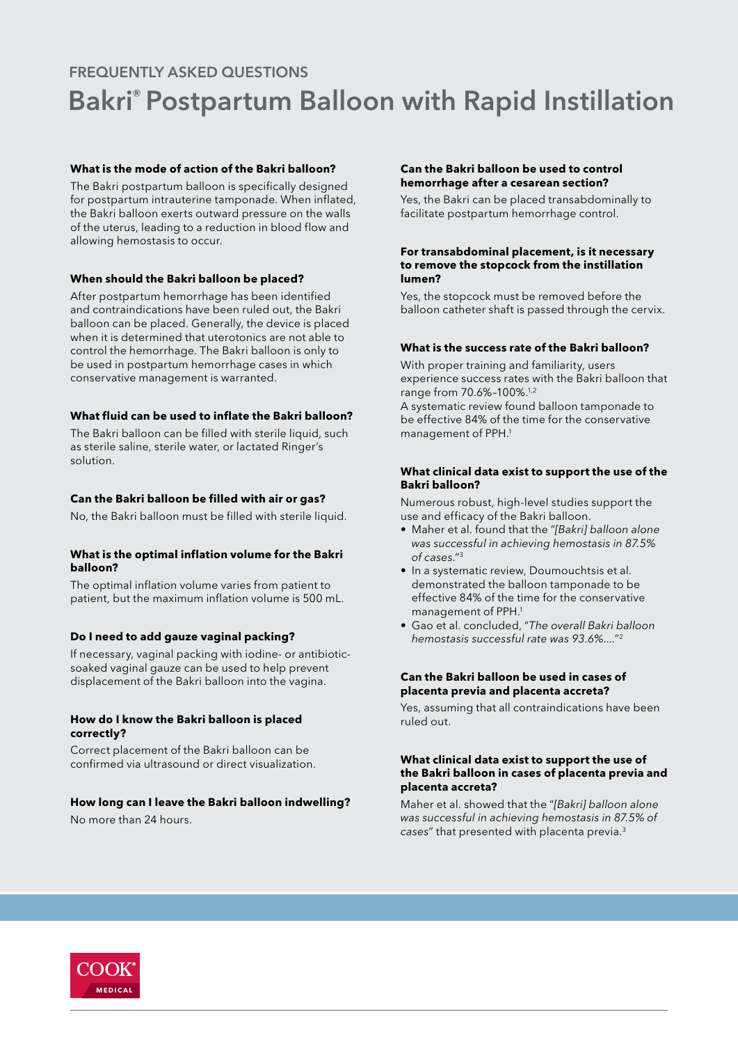# Bakri® Postpartum Balloon with Rapid Instillation FREQUENTLY ASKED QUESTIONS

# **What is the mode of action of the Bakri balloon?**

The Bakri postpartum balloon is specifically designed for postpartum intrauterine tamponade. When inflated, the Bakri balloon exerts outward pressure on the walls of the uterus, leading to a reduction in blood flow and allowing hemostasis to occur.

# **When should the Bakri balloon be placed?**

After postpartum hemorrhage has been identified and contraindications have been ruled out, the Bakri balloon can be placed. Generally, the device is placed when it is determined that uterotonics are not able to control the hemorrhage. The Bakri balloon is only to be used in postpartum hemorrhage cases in which conservative management is warranted.

# **What fluid can be used to inflate the Bakri balloon?**

The Bakri balloon can be filled with sterile liquid, such as sterile saline, sterile water, or lactated Ringer's solution.

# **Can the Bakri balloon be filled with air or gas?**

No, the Bakri balloon must be filled with sterile liquid.

# **What is the optimal inflation volume for the Bakri balloon?**

The optimal inflation volume varies from patient to patient, but the maximum inflation volume is 500 mL.

# **Do I need to add gauze vaginal packing?**

If necessary, vaginal packing with iodine- or antibioticsoaked vaginal gauze can be used to help prevent displacement of the Bakri balloon into the vagina.

#### **How do I know the Bakri balloon is placed correctly?**

Correct placement of the Bakri balloon can be confirmed via ultrasound or direct visualization.

# **How long can I leave the Bakri balloon indwelling?**

No more than 24 hours.

# **Can the Bakri balloon be used to control hemorrhage after a cesarean section?**

Yes, the Bakri can be placed transabdominally to facilitate postpartum hemorrhage control.

#### **For transabdominal placement, is it necessary to remove the stopcock from the instillation lumen?**

Yes, the stopcock must be removed before the balloon catheter shaft is passed through the cervix.

# **What is the success rate of the Bakri balloon?**

With proper training and familiarity, users experience success rates with the Bakri balloon that range from 70.6%–100%.1,2

A systematic review found balloon tamponade to be effective 84% of the time for the conservative management of PPH.1

#### **What clinical data exist to support the use of the Bakri balloon?**

Numerous robust, high-level studies support the use and efficacy of the Bakri balloon.

- Maher et al. found that the "*[Bakri] balloon alone was successful in achieving hemostasis in 87.5% of cases*."3
- In a systematic review, Doumouchtsis et al. demonstrated the balloon tamponade to be effective 84% of the time for the conservative management of PPH.1
- Gao et al. concluded, "*The overall Bakri balloon hemostasis successful rate was 93.6%....*"2

# **Can the Bakri balloon be used in cases of placenta previa and placenta accreta?**

Yes, assuming that all contraindications have been ruled out.

# **What clinical data exist to support the use of the Bakri balloon in cases of placenta previa and placenta accreta?**

Maher et al. showed that the "*[Bakri] balloon alone was successful in achieving hemostasis in 87.5% of cases*" that presented with placenta previa.3